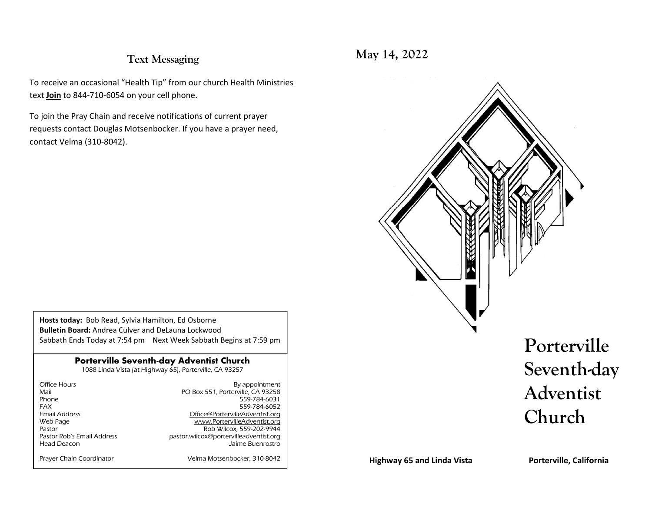#### **Text Messaging**

To receive an occasional "Health Tip" from our church Health Ministries text **Join** to 844-710-6054 on your cell phone.

To join the Pray Chain and receive notifications of current prayer requests contact Douglas Motsenbocker. If you have a prayer need, contact Velma (310-8042).

**Hosts today:** Bob Read, Sylvia Hamilton, Ed Osborne **Bulletin Board:** Andrea Culver and DeLauna Lockwood Sabbath Ends Today at 7:54 pm Next Week Sabbath Begins at 7:59 pm

#### **Porterville Seventh-day Adventist Church**

1088 Linda Vista (at Highway 65), Porterville, CA 93257

| Office Hours               | By appointment                         |
|----------------------------|----------------------------------------|
| Mail                       | PO Box 551, Porterville, CA 93258      |
| Phone                      | 559-784-6031                           |
| <b>FAX</b>                 | 559-784-6052                           |
| <b>Email Address</b>       | Office@PortervilleAdventist.org        |
| Web Page                   | www.PortervilleAdventist.org           |
| Pastor                     | Rob Wilcox, 559-202-9944               |
| Pastor Rob's Email Address | pastor.wilcox@portervilleadventist.org |
| Head Deacon                | Jaime Buenrostro                       |
|                            |                                        |
| Prayer Chain Coordinator   | Velma Motsenbocker, 310-8042           |

**May 14, 2022**



**Highway 65 and Linda Vista**

**Porterville, California**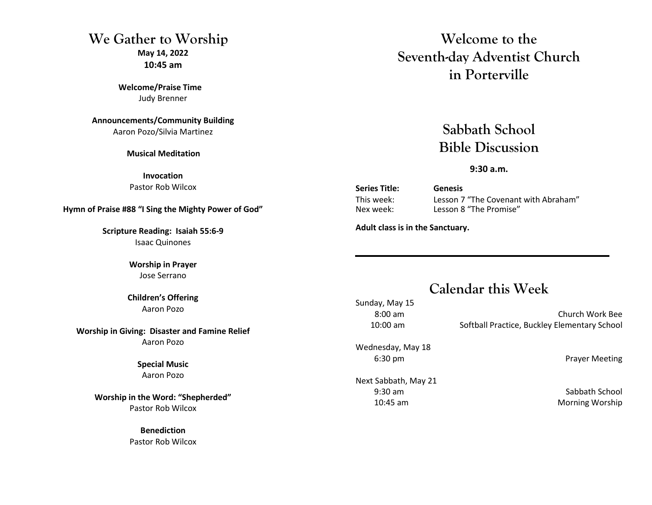#### **We Gather to WorshipMay 14, 2022 10:45 am**

**Welcome/Praise Time** Judy Brenner

**Announcements/Community Building**Aaron Pozo/Silvia Martinez

**Musical Meditation** 

**Invocation** Pastor Rob Wilcox

**Hymn of Praise #88 "I Sing the Mighty Power of God"**

**Scripture Reading: Isaiah 55:6-9** Isaac Quinones

> **Worship in Prayer** Jose Serrano

**Children's Offering** Aaron Pozo

**Worship in Giving: Disaster and Famine Relief**Aaron Pozo

> **Special Music** Aaron Pozo

**Worship in the Word: "Shepherded"**Pastor Rob Wilcox

> **Benediction** Pastor Rob Wilcox

**Welcome to the Seventh-day Adventist Church in Porterville**

> **Sabbath School Bible Discussion**

> > **9:30 a.m.**

**Series Title: Genesis**

 This week: Lesson 7 "The Covenant with Abraham" Nex week: Lesson 8 "The Promise"

**Adult class is in the Sanctuary.** 

# **Calendar this Week**

Sunday, May 15 8:00 am Church Work Bee 10:00 am Softball Practice, Buckley Elementary School

Wednesday, May 18

Next Sabbath, May 21 9:30 am Sabbath School 10:45 am Morning Worship

6:30 pm Prayer Meeting